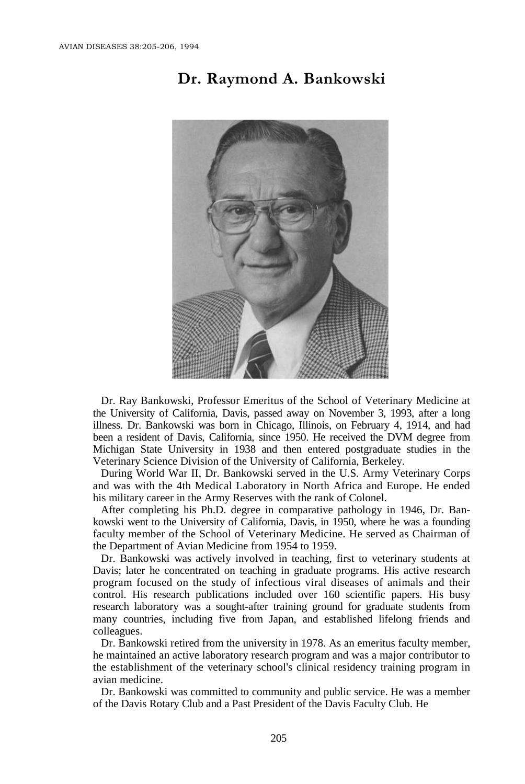## **Dr. Raymond A. Bankowski**



Dr. Ray Bankowski, Professor Emeritus of the School of Veterinary Medicine at the University of California, Davis, passed away on November 3, 1993, after a long illness. Dr. Bankowski was born in Chicago, Illinois, on February 4, 1914, and had been a resident of Davis, California, since 1950. He received the DVM degree from Michigan State University in 1938 and then entered postgraduate studies in the Veterinary Science Division of the University of California, Berkeley.

During World War II, Dr. Bankowski served in the U.S. Army Veterinary Corps and was with the 4th Medical Laboratory in North Africa and Europe. He ended his military career in the Army Reserves with the rank of Colonel.

After completing his Ph.D. degree in comparative pathology in 1946, Dr. Bankowski went to the University of California, Davis, in 1950, where he was a founding faculty member of the School of Veterinary Medicine. He served as Chairman of the Department of Avian Medicine from 1954 to 1959.

Dr. Bankowski was actively involved in teaching, first to veterinary students at Davis; later he concentrated on teaching in graduate programs. His active research program focused on the study of infectious viral diseases of animals and their control. His research publications included over 160 scientific papers. His busy research laboratory was a sought-after training ground for graduate students from many countries, including five from Japan, and established lifelong friends and colleagues.

Dr. Bankowski retired from the university in 1978. As an emeritus faculty member, he maintained an active laboratory research program and was a major contributor to the establishment of the veterinary school's clinical residency training program in avian medicine.

Dr. Bankowski was committed to community and public service. He was a member of the Davis Rotary Club and a Past President of the Davis Faculty Club. He